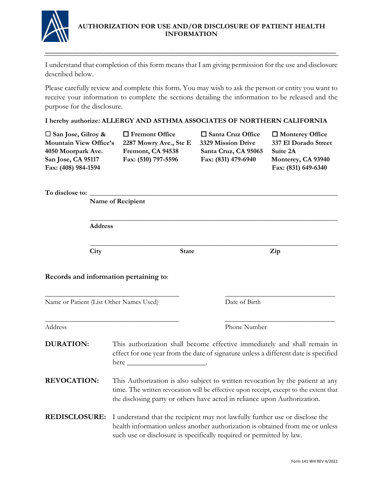

## **AUTHORIZATION FOR USE AND/OR DISCLOSURE OF PATIENT HEALTH INFORMATION**

I understand that completion of this form means that I am giving permission for the use and disclosure described below.

\_\_\_\_\_\_\_\_\_\_\_\_\_\_\_\_\_\_\_\_\_\_\_\_\_\_\_\_\_\_\_\_\_\_\_\_\_\_\_\_\_\_\_\_\_\_\_\_\_\_\_\_\_\_\_\_\_\_\_\_\_\_\_\_\_\_\_\_\_\_\_\_\_\_\_\_\_\_\_\_\_\_\_\_\_

Please carefully review and complete this form. You may wish to ask the person or entity you want to receive your information to complete the sections detailing the information to be released and the purpose for the disclosure.

**I hereby authorize: ALLERGY AND ASTHMA ASSOCIATES OF NORTHERN CALIFORNIA**

**Mountain View Office's 2287 Mowry Ave., Ste E 3329 Mission Drive 337 El Dorado Street 4050 Moorpark Ave. Fremont, CA 94538 Santa Cruz, CA 95065 Suite 2A San Jose, CA 95117 Fax: (510) 797-5596 Fax: (831) 479-6940 Monterey, CA 93940 Fax: (408) 984-1594 Fax: (831) 649-6340**

**San Jose, Gilroy & Fremont Office Santa Cruz Office Monterey Office** 

To disclose to:

 **Name of Recipient \_\_\_\_\_\_\_\_\_\_\_\_\_\_\_\_\_\_\_\_\_\_\_\_\_\_\_\_\_\_\_\_\_\_\_\_\_\_\_\_\_\_\_\_\_\_\_\_\_\_\_\_\_\_\_\_\_\_\_\_\_\_\_\_\_\_\_\_\_\_\_\_ Address \_\_\_\_\_\_\_\_\_\_\_\_\_\_\_\_\_\_\_\_\_\_\_\_\_\_\_\_\_\_\_\_\_\_\_\_\_\_\_\_\_\_\_\_\_\_\_\_\_\_\_\_\_\_\_\_\_\_\_\_\_\_\_\_\_\_\_\_\_\_\_\_ City** State **Zip Records and information pertaining to**:  $\_$  , and the set of the set of the set of the set of the set of the set of the set of the set of the set of the set of the set of the set of the set of the set of the set of the set of the set of the set of the set of th Name or Patient (List Other Names Used) Date of Birth  $\_$  , and the set of the set of the set of the set of the set of the set of the set of the set of the set of the set of the set of the set of the set of the set of the set of the set of the set of the set of the set of th Address Phone Number **DURATION:** This authorization shall become effective immediately and shall remain in effect for one year from the date of signature unless a different date is specified here \_\_\_\_\_\_\_\_\_\_\_\_\_\_\_\_\_\_\_\_\_. **REVOCATION:** This Authorization is also subject to written revocation by the patient at any time. The written revocation will be effective upon receipt, except to the extent that the disclosing party or others have acted in reliance upon Authorization. **REDISCLOSURE:** I understand that the recipient may not lawfully further use or disclose the health information unless another authorization is obtained from me or unless such use or disclosure is specifically required or permitted by law.